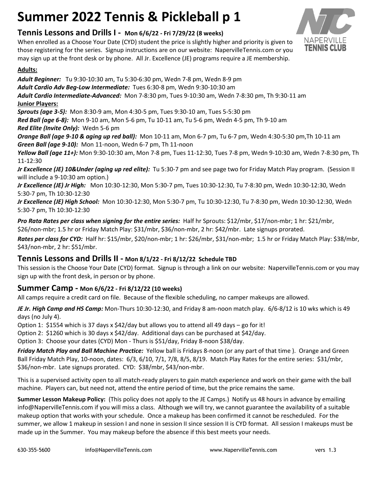# **Summer 2022 Tennis & Pickleball p 1**

# **Tennis Lessons and Drills I - Mon 6/6/22 - Fri 7/29/22 (8 weeks)**

When enrolled as a Choose Your Date (CYD) student the price is slightly higher and priority is given to those registering for the series. Signup instructions are on our website: NapervilleTennis.com or you may sign up at the front desk or by phone. All Jr. Excellence (JE) programs require a JE membership.

### **Adults:**

*Adult Beginner:* Tu 9:30-10:30 am, Tu 5:30-6:30 pm, Wedn 7-8 pm, Wedn 8-9 pm *Adult Cardio Adv Beg-Low Intermediate:* Tues 6:30-8 pm, Wedn 9:30-10:30 am *Adult Cardio Intermediate-Advanced:* Mon 7-8:30 pm, Tues 9-10:30 am, Wedn 7-8:30 pm, Th 9:30-11 am **Junior Players:** *Sprouts (age 3-5):* Mon 8:30-9 am, Mon 4:30-5 pm, Tues 9:30-10 am, Tues 5-5:30 pm *Red Ball (age 6-8):* Mon 9-10 am, Mon 5-6 pm, Tu 10-11 am, Tu 5-6 pm, Wedn 4-5 pm, Th 9-10 am *Red Elite (Invite Only):* Wedn 5-6 pm *Orange Ball (age 9-10 & aging up red ball):* Mon 10-11 am, Mon 6-7 pm, Tu 6-7 pm, Wedn 4:30-5:30 pm,Th 10-11 am *Green Ball (age 9-10):* Mon 11-noon, Wedn 6-7 pm, Th 11-noon *Yellow Ball (age 11+):* Mon 9:30-10:30 am, Mon 7-8 pm, Tues 11-12:30, Tues 7-8 pm, Wedn 9-10:30 am, Wedn 7-8:30 pm, Th 11-12:30 *Jr Excellence (JE) 10&Under (aging up red elite):* Tu 5:30-7 pm and see page two for Friday Match Play program. (Session II will include a 9-10:30 am option.) *Jr Excellence (JE) Jr High:* Mon 10:30-12:30, Mon 5:30-7 pm, Tues 10:30-12:30, Tu 7-8:30 pm, Wedn 10:30-12:30, Wedn

5:30-7 pm, Th 10:30-12:30

*Jr Excellence (JE) High School:* Mon 10:30-12:30, Mon 5:30-7 pm, Tu 10:30-12:30, Tu 7-8:30 pm, Wedn 10:30-12:30, Wedn 5:30-7 pm, Th 10:30-12:30

*Pro Rata Rates per class when signing for the entire series:* Half hr Sprouts: \$12/mbr, \$17/non-mbr; 1 hr: \$21/mbr, \$26/non-mbr; 1.5 hr or Friday Match Play: \$31/mbr, \$36/non-mbr, 2 hr: \$42/mbr. Late signups prorated.

*Rates per class for CYD:* Half hr: \$15/mbr, \$20/non-mbr; 1 hr: \$26/mbr, \$31/non-mbr; 1.5 hr or Friday Match Play: \$38/mbr, \$43/non-mbr, 2 hr: \$51/mbr.

## **Tennis Lessons and Drills II - Mon 8/1/22 - Fri 8/12/22 Schedule TBD**

This session is the Choose Your Date (CYD) format. Signup is through a link on our website: NapervilleTennis.com or you may sign up with the front desk, in person or by phone.

## **Summer Camp - Mon 6/6/22 - Fri 8/12/22 (10 weeks)**

All camps require a credit card on file. Because of the flexible scheduling, no camper makeups are allowed.

*JE Jr. High Camp and HS Camp:* Mon-Thurs 10:30-12:30, and Friday 8 am-noon match play. 6/6-8/12 is 10 wks which is 49 days (no July 4).

Option 1: \$1554 which is 37 days x \$42/day but allows you to attend all 49 days – go for it!

Option 2: \$1260 which is 30 days x \$42/day. Additional days can be purchased at \$42/day.

Option 3: Choose your dates (CYD) Mon - Thurs is \$51/day, Friday 8-noon \$38/day.

*Friday Match Play and Ball Machine Practice:* Yellow ball is Fridays 8-noon (or any part of that time ). Orange and Green Ball Friday Match Play, 10-noon, dates: 6/3, 6/10, 7/1, 7/8, 8/5, 8/19. Match Play Rates for the entire series: \$31/mbr, \$36/non-mbr. Late signups prorated. CYD: \$38/mbr, \$43/non-mbr.

This is a supervised activity open to all match-ready players to gain match experience and work on their game with the ball machine. Players can, but need not, attend the entire period of time, but the price remains the same.

**Summer Lesson Makeup Policy:** (This policy does not apply to the JE Camps.) Notify us 48 hours in advance by emailing info@NapervilleTennis.com if you will miss a class. Although we will try, we cannot guarantee the availability of a suitable makeup option that works with your schedule. Once a makeup has been confirmed it cannot be rescheduled. For the summer, we allow 1 makeup in session I and none in session II since session II is CYD format. All session I makeups must be made up in the Summer. You may makeup before the absence if this best meets your needs.